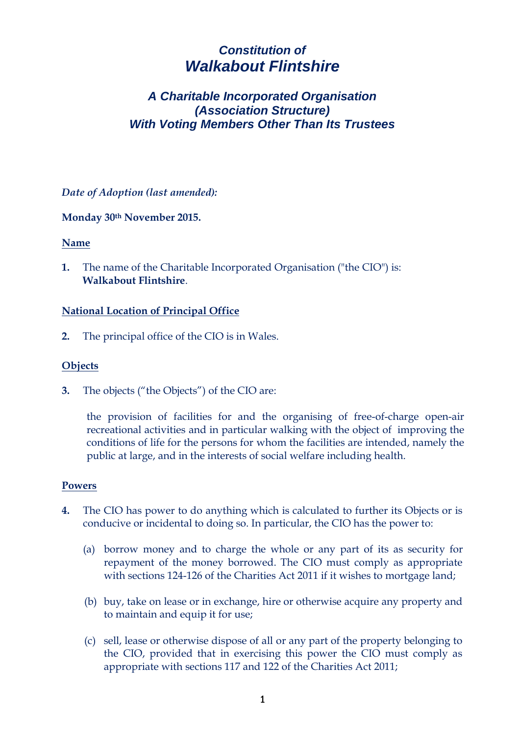# *Constitution of Walkabout Flintshire*

# *A Charitable Incorporated Organisation (Association Structure) With Voting Members Other Than Its Trustees*

*Date of Adoption (last amended):*

**Monday 30th November 2015.**

## **Name**

**1.** The name of the Charitable Incorporated Organisation ("the CIO") is: **Walkabout Flintshire**.

## **National Location of Principal Office**

**2.** The principal office of the CIO is in Wales.

## **Objects**

**3.** The objects ("the Objects") of the CIO are:

the provision of facilities for and the organising of free-of-charge open-air recreational activities and in particular walking with the object of improving the conditions of life for the persons for whom the facilities are intended, namely the public at large, and in the interests of social welfare including health.

#### **Powers**

- **4.** The CIO has power to do anything which is calculated to further its Objects or is conducive or incidental to doing so. In particular, the CIO has the power to:
	- (a) borrow money and to charge the whole or any part of its as security for repayment of the money borrowed. The CIO must comply as appropriate with sections 124-126 of the Charities Act 2011 if it wishes to mortgage land;
	- (b) buy, take on lease or in exchange, hire or otherwise acquire any property and to maintain and equip it for use;
	- (c) sell, lease or otherwise dispose of all or any part of the property belonging to the CIO, provided that in exercising this power the CIO must comply as appropriate with sections 117 and 122 of the Charities Act 2011;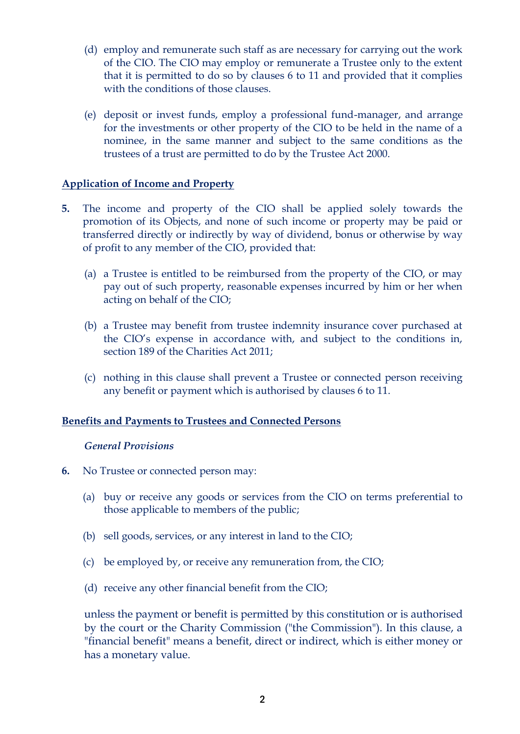- (d) employ and remunerate such staff as are necessary for carrying out the work of the CIO. The CIO may employ or remunerate a Trustee only to the extent that it is permitted to do so by clauses 6 to 11 and provided that it complies with the conditions of those clauses.
- (e) deposit or invest funds, employ a professional fund-manager, and arrange for the investments or other property of the CIO to be held in the name of a nominee, in the same manner and subject to the same conditions as the trustees of a trust are permitted to do by the Trustee Act 2000.

## **Application of Income and Property**

- **5.** The income and property of the CIO shall be applied solely towards the promotion of its Objects, and none of such income or property may be paid or transferred directly or indirectly by way of dividend, bonus or otherwise by way of profit to any member of the CIO, provided that:
	- (a) a Trustee is entitled to be reimbursed from the property of the CIO, or may pay out of such property, reasonable expenses incurred by him or her when acting on behalf of the CIO;
	- (b) a Trustee may benefit from trustee indemnity insurance cover purchased at the CIO's expense in accordance with, and subject to the conditions in, section 189 of the Charities Act 2011;
	- (c) nothing in this clause shall prevent a Trustee or connected person receiving any benefit or payment which is authorised by clauses 6 to 11.

## **Benefits and Payments to Trustees and Connected Persons**

## *General Provisions*

- **6.** No Trustee or connected person may:
	- (a) buy or receive any goods or services from the CIO on terms preferential to those applicable to members of the public;
	- (b) sell goods, services, or any interest in land to the CIO;
	- (c) be employed by, or receive any remuneration from, the CIO;
	- (d) receive any other financial benefit from the CIO;

unless the payment or benefit is permitted by this constitution or is authorised by the court or the Charity Commission ("the Commission"). In this clause, a "financial benefit" means a benefit, direct or indirect, which is either money or has a monetary value.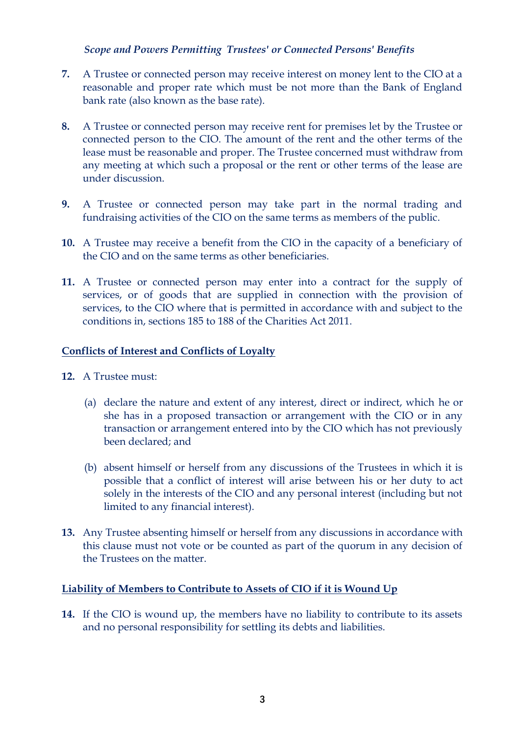## *Scope and Powers Permitting Trustees' or Connected Persons' Benefits*

- **7.** A Trustee or connected person may receive interest on money lent to the CIO at a reasonable and proper rate which must be not more than the Bank of England bank rate (also known as the base rate).
- **8.** A Trustee or connected person may receive rent for premises let by the Trustee or connected person to the CIO. The amount of the rent and the other terms of the lease must be reasonable and proper. The Trustee concerned must withdraw from any meeting at which such a proposal or the rent or other terms of the lease are under discussion.
- **9.** A Trustee or connected person may take part in the normal trading and fundraising activities of the CIO on the same terms as members of the public.
- **10.** A Trustee may receive a benefit from the CIO in the capacity of a beneficiary of the CIO and on the same terms as other beneficiaries.
- **11.** A Trustee or connected person may enter into a contract for the supply of services, or of goods that are supplied in connection with the provision of services, to the CIO where that is permitted in accordance with and subject to the conditions in, sections 185 to 188 of the Charities Act 2011.

## **Conflicts of Interest and Conflicts of Loyalty**

- **12.** A Trustee must:
	- (a) declare the nature and extent of any interest, direct or indirect, which he or she has in a proposed transaction or arrangement with the CIO or in any transaction or arrangement entered into by the CIO which has not previously been declared; and
	- (b) absent himself or herself from any discussions of the Trustees in which it is possible that a conflict of interest will arise between his or her duty to act solely in the interests of the CIO and any personal interest (including but not limited to any financial interest).
- **13.** Any Trustee absenting himself or herself from any discussions in accordance with this clause must not vote or be counted as part of the quorum in any decision of the Trustees on the matter.

## **Liability of Members to Contribute to Assets of CIO if it is Wound Up**

**14.** If the CIO is wound up, the members have no liability to contribute to its assets and no personal responsibility for settling its debts and liabilities.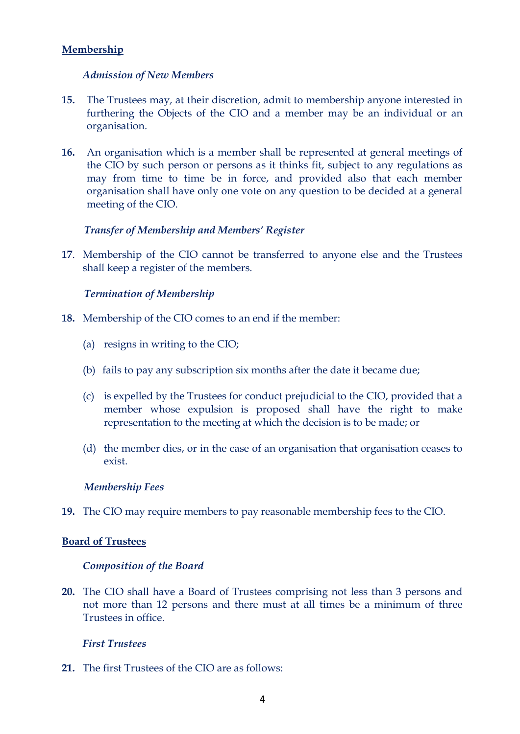# **Membership**

## *Admission of New Members*

- **15.** The Trustees may, at their discretion, admit to membership anyone interested in furthering the Objects of the CIO and a member may be an individual or an organisation.
- **16.** An organisation which is a member shall be represented at general meetings of the CIO by such person or persons as it thinks fit, subject to any regulations as may from time to time be in force, and provided also that each member organisation shall have only one vote on any question to be decided at a general meeting of the CIO.

## *Transfer of Membership and Members' Register*

**17**. Membership of the CIO cannot be transferred to anyone else and the Trustees shall keep a register of the members.

#### *Termination of Membership*

- **18.** Membership of the CIO comes to an end if the member:
	- (a) resigns in writing to the CIO;
	- (b) fails to pay any subscription six months after the date it became due;
	- (c) is expelled by the Trustees for conduct prejudicial to the CIO, provided that a member whose expulsion is proposed shall have the right to make representation to the meeting at which the decision is to be made; or
	- (d) the member dies, or in the case of an organisation that organisation ceases to exist.

#### *Membership Fees*

**19.** The CIO may require members to pay reasonable membership fees to the CIO.

#### **Board of Trustees**

#### *Composition of the Board*

**20.** The CIO shall have a Board of Trustees comprising not less than 3 persons and not more than 12 persons and there must at all times be a minimum of three Trustees in office.

#### *First Trustees*

**21.** The first Trustees of the CIO are as follows: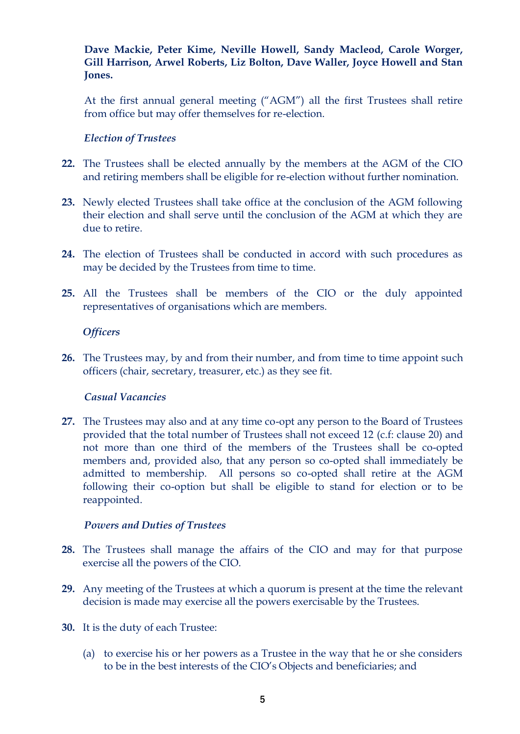**Dave Mackie, Peter Kime, Neville Howell, Sandy Macleod, Carole Worger, Gill Harrison, Arwel Roberts, Liz Bolton, Dave Waller, Joyce Howell and Stan Jones.**

At the first annual general meeting ("AGM") all the first Trustees shall retire from office but may offer themselves for re-election.

#### *Election of Trustees*

- **22.** The Trustees shall be elected annually by the members at the AGM of the CIO and retiring members shall be eligible for re-election without further nomination.
- **23.** Newly elected Trustees shall take office at the conclusion of the AGM following their election and shall serve until the conclusion of the AGM at which they are due to retire.
- **24.** The election of Trustees shall be conducted in accord with such procedures as may be decided by the Trustees from time to time.
- **25.** All the Trustees shall be members of the CIO or the duly appointed representatives of organisations which are members.

#### *Officers*

**26.** The Trustees may, by and from their number, and from time to time appoint such officers (chair, secretary, treasurer, etc.) as they see fit.

#### *Casual Vacancies*

**27.** The Trustees may also and at any time co-opt any person to the Board of Trustees provided that the total number of Trustees shall not exceed 12 (c.f: clause 20) and not more than one third of the members of the Trustees shall be co-opted members and, provided also, that any person so co-opted shall immediately be admitted to membership. All persons so co-opted shall retire at the AGM following their co-option but shall be eligible to stand for election or to be reappointed.

#### *Powers and Duties of Trustees*

- **28.** The Trustees shall manage the affairs of the CIO and may for that purpose exercise all the powers of the CIO.
- **29.** Any meeting of the Trustees at which a quorum is present at the time the relevant decision is made may exercise all the powers exercisable by the Trustees.
- **30.** It is the duty of each Trustee:
	- (a) to exercise his or her powers as a Trustee in the way that he or she considers to be in the best interests of the CIO's Objects and beneficiaries; and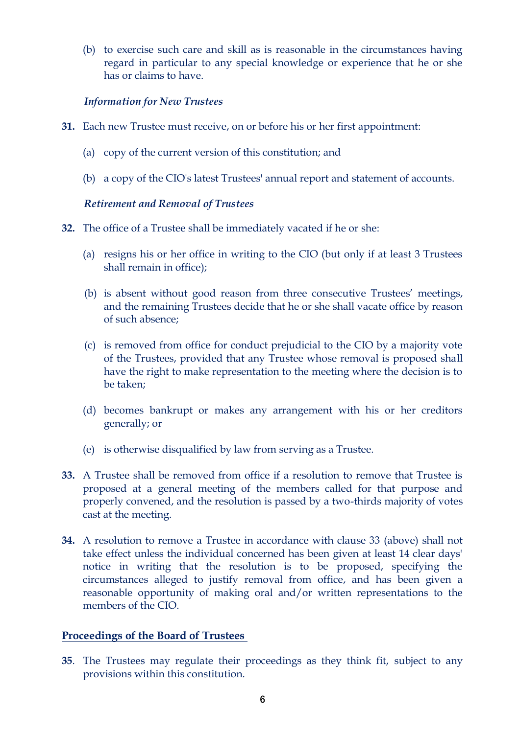(b) to exercise such care and skill as is reasonable in the circumstances having regard in particular to any special knowledge or experience that he or she has or claims to have.

# *Information for New Trustees*

- **31.** Each new Trustee must receive, on or before his or her first appointment:
	- (a) copy of the current version of this constitution; and
	- (b) a copy of the CIO's latest Trustees' annual report and statement of accounts.

## *Retirement and Removal of Trustees*

- **32.** The office of a Trustee shall be immediately vacated if he or she:
	- (a) resigns his or her office in writing to the CIO (but only if at least 3 Trustees shall remain in office);
	- (b) is absent without good reason from three consecutive Trustees' meetings, and the remaining Trustees decide that he or she shall vacate office by reason of such absence;
	- (c) is removed from office for conduct prejudicial to the CIO by a majority vote of the Trustees, provided that any Trustee whose removal is proposed shall have the right to make representation to the meeting where the decision is to be taken;
	- (d) becomes bankrupt or makes any arrangement with his or her creditors generally; or
	- (e) is otherwise disqualified by law from serving as a Trustee.
- **33.** A Trustee shall be removed from office if a resolution to remove that Trustee is proposed at a general meeting of the members called for that purpose and properly convened, and the resolution is passed by a two-thirds majority of votes cast at the meeting.
- **34.** A resolution to remove a Trustee in accordance with clause 33 (above) shall not take effect unless the individual concerned has been given at least 14 clear days' notice in writing that the resolution is to be proposed, specifying the circumstances alleged to justify removal from office, and has been given a reasonable opportunity of making oral and/or written representations to the members of the CIO.

# **Proceedings of the Board of Trustees**

**35**. The Trustees may regulate their proceedings as they think fit, subject to any provisions within this constitution.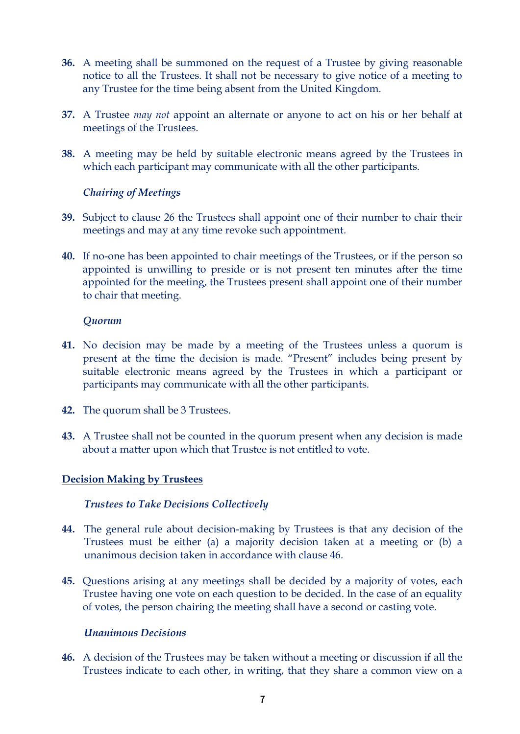- **36.** A meeting shall be summoned on the request of a Trustee by giving reasonable notice to all the Trustees. It shall not be necessary to give notice of a meeting to any Trustee for the time being absent from the United Kingdom.
- **37.** A Trustee *may not* appoint an alternate or anyone to act on his or her behalf at meetings of the Trustees.
- **38.** A meeting may be held by suitable electronic means agreed by the Trustees in which each participant may communicate with all the other participants.

## *Chairing of Meetings*

- **39.** Subject to clause 26 the Trustees shall appoint one of their number to chair their meetings and may at any time revoke such appointment.
- **40.** If no-one has been appointed to chair meetings of the Trustees, or if the person so appointed is unwilling to preside or is not present ten minutes after the time appointed for the meeting, the Trustees present shall appoint one of their number to chair that meeting.

## *Quorum*

- **41.** No decision may be made by a meeting of the Trustees unless a quorum is present at the time the decision is made. "Present" includes being present by suitable electronic means agreed by the Trustees in which a participant or participants may communicate with all the other participants.
- **42.** The quorum shall be 3 Trustees.
- **43.** A Trustee shall not be counted in the quorum present when any decision is made about a matter upon which that Trustee is not entitled to vote.

## **Decision Making by Trustees**

## *Trustees to Take Decisions Collectively*

- **44.** The general rule about decision-making by Trustees is that any decision of the Trustees must be either (a) a majority decision taken at a meeting or (b) a unanimous decision taken in accordance with clause 46.
- **45.** Questions arising at any meetings shall be decided by a majority of votes, each Trustee having one vote on each question to be decided. In the case of an equality of votes, the person chairing the meeting shall have a second or casting vote.

## *Unanimous Decisions*

**46.** A decision of the Trustees may be taken without a meeting or discussion if all the Trustees indicate to each other, in writing, that they share a common view on a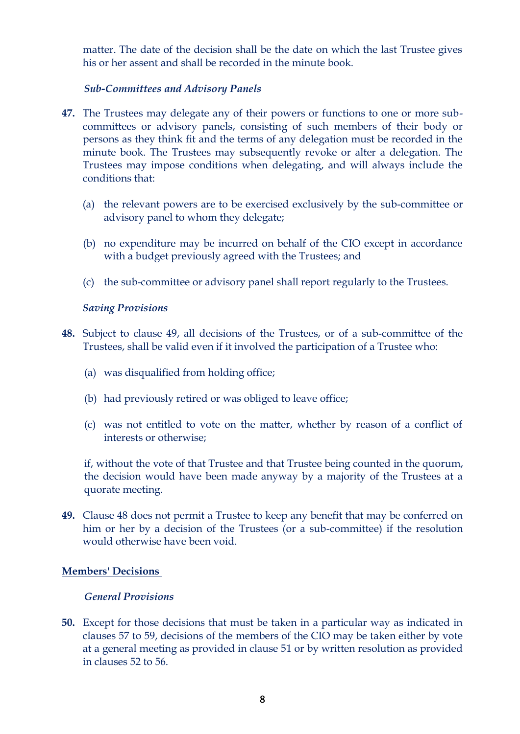matter. The date of the decision shall be the date on which the last Trustee gives his or her assent and shall be recorded in the minute book.

## *Sub-Committees and Advisory Panels*

- **47.** The Trustees may delegate any of their powers or functions to one or more subcommittees or advisory panels, consisting of such members of their body or persons as they think fit and the terms of any delegation must be recorded in the minute book. The Trustees may subsequently revoke or alter a delegation. The Trustees may impose conditions when delegating, and will always include the conditions that:
	- (a) the relevant powers are to be exercised exclusively by the sub-committee or advisory panel to whom they delegate;
	- (b) no expenditure may be incurred on behalf of the CIO except in accordance with a budget previously agreed with the Trustees; and
	- (c) the sub-committee or advisory panel shall report regularly to the Trustees.

## *Saving Provisions*

- **48.** Subject to clause 49, all decisions of the Trustees, or of a sub-committee of the Trustees, shall be valid even if it involved the participation of a Trustee who:
	- (a) was disqualified from holding office;
	- (b) had previously retired or was obliged to leave office;
	- (c) was not entitled to vote on the matter, whether by reason of a conflict of interests or otherwise;

if, without the vote of that Trustee and that Trustee being counted in the quorum, the decision would have been made anyway by a majority of the Trustees at a quorate meeting.

**49.** Clause 48 does not permit a Trustee to keep any benefit that may be conferred on him or her by a decision of the Trustees (or a sub-committee) if the resolution would otherwise have been void.

## **Members' Decisions**

## *General Provisions*

**50.** Except for those decisions that must be taken in a particular way as indicated in clauses 57 to 59, decisions of the members of the CIO may be taken either by vote at a general meeting as provided in clause 51 or by written resolution as provided in clauses 52 to 56.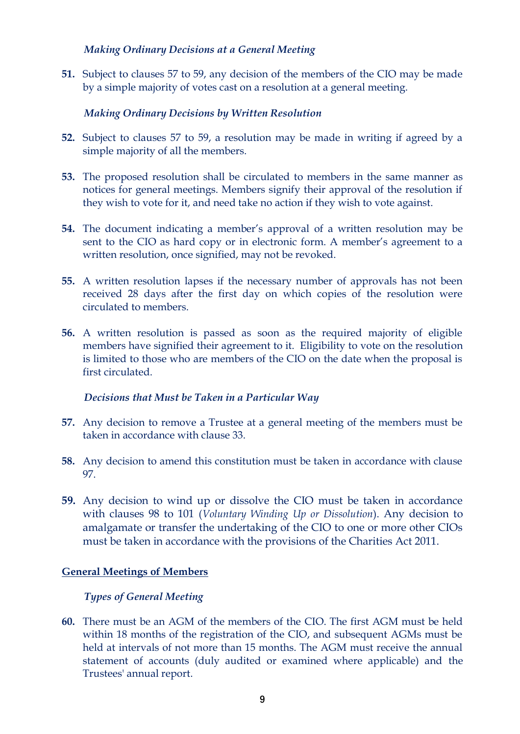## *Making Ordinary Decisions at a General Meeting*

**51.** Subject to clauses 57 to 59, any decision of the members of the CIO may be made by a simple majority of votes cast on a resolution at a general meeting.

# *Making Ordinary Decisions by Written Resolution*

- **52.** Subject to clauses 57 to 59, a resolution may be made in writing if agreed by a simple majority of all the members.
- **53.** The proposed resolution shall be circulated to members in the same manner as notices for general meetings. Members signify their approval of the resolution if they wish to vote for it, and need take no action if they wish to vote against.
- **54.** The document indicating a member's approval of a written resolution may be sent to the CIO as hard copy or in electronic form. A member's agreement to a written resolution, once signified, may not be revoked.
- **55.** A written resolution lapses if the necessary number of approvals has not been received 28 days after the first day on which copies of the resolution were circulated to members.
- **56.** A written resolution is passed as soon as the required majority of eligible members have signified their agreement to it. Eligibility to vote on the resolution is limited to those who are members of the CIO on the date when the proposal is first circulated.

# *Decisions that Must be Taken in a Particular Way*

- **57.** Any decision to remove a Trustee at a general meeting of the members must be taken in accordance with clause 33.
- **58.** Any decision to amend this constitution must be taken in accordance with clause 97.
- **59.** Any decision to wind up or dissolve the CIO must be taken in accordance with clauses 98 to 101 (*Voluntary Winding Up or Dissolution*). Any decision to amalgamate or transfer the undertaking of the CIO to one or more other CIOs must be taken in accordance with the provisions of the Charities Act 2011.

# **General Meetings of Members**

# *Types of General Meeting*

**60.** There must be an AGM of the members of the CIO. The first AGM must be held within 18 months of the registration of the CIO, and subsequent AGMs must be held at intervals of not more than 15 months. The AGM must receive the annual statement of accounts (duly audited or examined where applicable) and the Trustees' annual report.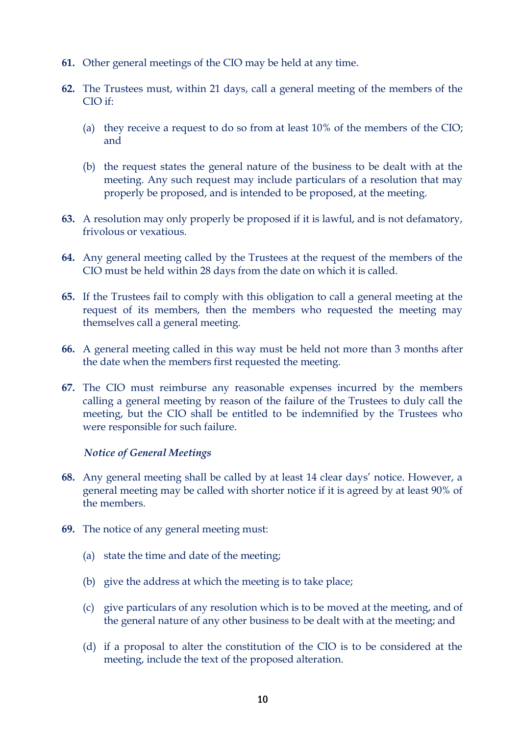- **61.** Other general meetings of the CIO may be held at any time.
- **62.** The Trustees must, within 21 days, call a general meeting of the members of the CIO if:
	- (a) they receive a request to do so from at least 10% of the members of the CIO; and
	- (b) the request states the general nature of the business to be dealt with at the meeting. Any such request may include particulars of a resolution that may properly be proposed, and is intended to be proposed, at the meeting.
- **63.** A resolution may only properly be proposed if it is lawful, and is not defamatory, frivolous or vexatious.
- **64.** Any general meeting called by the Trustees at the request of the members of the CIO must be held within 28 days from the date on which it is called.
- **65.** If the Trustees fail to comply with this obligation to call a general meeting at the request of its members, then the members who requested the meeting may themselves call a general meeting.
- **66.** A general meeting called in this way must be held not more than 3 months after the date when the members first requested the meeting.
- **67.** The CIO must reimburse any reasonable expenses incurred by the members calling a general meeting by reason of the failure of the Trustees to duly call the meeting, but the CIO shall be entitled to be indemnified by the Trustees who were responsible for such failure.

## *Notice of General Meetings*

- **68.** Any general meeting shall be called by at least 14 clear days' notice. However, a general meeting may be called with shorter notice if it is agreed by at least 90% of the members.
- **69.** The notice of any general meeting must:
	- (a) state the time and date of the meeting;
	- (b) give the address at which the meeting is to take place;
	- (c) give particulars of any resolution which is to be moved at the meeting, and of the general nature of any other business to be dealt with at the meeting; and
	- (d) if a proposal to alter the constitution of the CIO is to be considered at the meeting, include the text of the proposed alteration.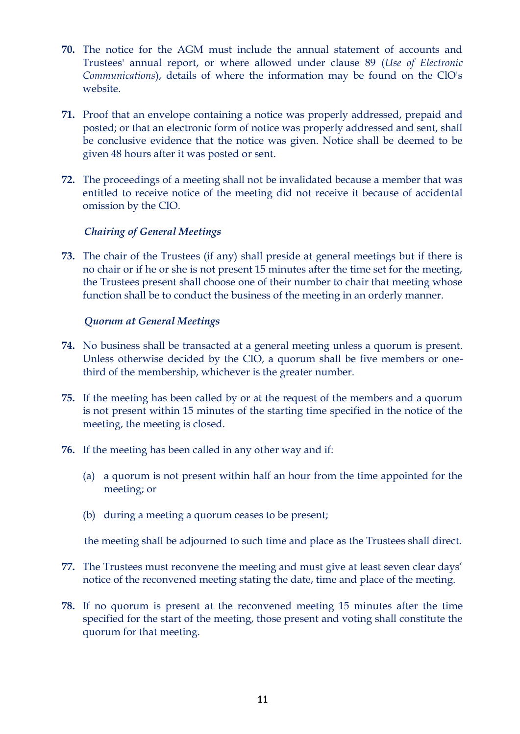- **70.** The notice for the AGM must include the annual statement of accounts and Trustees' annual report, or where allowed under clause 89 (*Use of Electronic Communications*), details of where the information may be found on the ClO's website.
- **71.** Proof that an envelope containing a notice was properly addressed, prepaid and posted; or that an electronic form of notice was properly addressed and sent, shall be conclusive evidence that the notice was given. Notice shall be deemed to be given 48 hours after it was posted or sent.
- **72.** The proceedings of a meeting shall not be invalidated because a member that was entitled to receive notice of the meeting did not receive it because of accidental omission by the CIO.

## *Chairing of General Meetings*

**73.** The chair of the Trustees (if any) shall preside at general meetings but if there is no chair or if he or she is not present 15 minutes after the time set for the meeting, the Trustees present shall choose one of their number to chair that meeting whose function shall be to conduct the business of the meeting in an orderly manner.

## *Quorum at General Meetings*

- **74.** No business shall be transacted at a general meeting unless a quorum is present. Unless otherwise decided by the CIO, a quorum shall be five members or onethird of the membership, whichever is the greater number.
- **75.** If the meeting has been called by or at the request of the members and a quorum is not present within 15 minutes of the starting time specified in the notice of the meeting, the meeting is closed.
- **76.** If the meeting has been called in any other way and if:
	- (a) a quorum is not present within half an hour from the time appointed for the meeting; or
	- (b) during a meeting a quorum ceases to be present;

the meeting shall be adjourned to such time and place as the Trustees shall direct.

- **77.** The Trustees must reconvene the meeting and must give at least seven clear days' notice of the reconvened meeting stating the date, time and place of the meeting.
- **78.** If no quorum is present at the reconvened meeting 15 minutes after the time specified for the start of the meeting, those present and voting shall constitute the quorum for that meeting.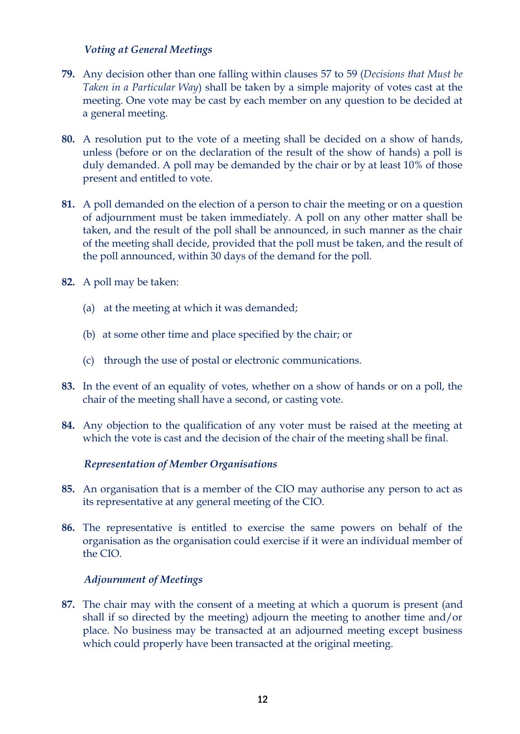## *Voting at General Meetings*

- **79.** Any decision other than one falling within clauses 57 to 59 (*Decisions that Must be Taken in a Particular Way*) shall be taken by a simple majority of votes cast at the meeting. One vote may be cast by each member on any question to be decided at a general meeting.
- **80.** A resolution put to the vote of a meeting shall be decided on a show of hands, unless (before or on the declaration of the result of the show of hands) a poll is duly demanded. A poll may be demanded by the chair or by at least 10% of those present and entitled to vote.
- **81.** A poll demanded on the election of a person to chair the meeting or on a question of adjournment must be taken immediately. A poll on any other matter shall be taken, and the result of the poll shall be announced, in such manner as the chair of the meeting shall decide, provided that the poll must be taken, and the result of the poll announced, within 30 days of the demand for the poll.
- **82.** A poll may be taken:
	- (a) at the meeting at which it was demanded;
	- (b) at some other time and place specified by the chair; or
	- (c) through the use of postal or electronic communications.
- **83.** In the event of an equality of votes, whether on a show of hands or on a poll, the chair of the meeting shall have a second, or casting vote.
- **84.** Any objection to the qualification of any voter must be raised at the meeting at which the vote is cast and the decision of the chair of the meeting shall be final.

## *Representation of Member Organisations*

- **85.** An organisation that is a member of the CIO may authorise any person to act as its representative at any general meeting of the CIO.
- **86.** The representative is entitled to exercise the same powers on behalf of the organisation as the organisation could exercise if it were an individual member of the CIO.

## *Adjournment of Meetings*

**87.** The chair may with the consent of a meeting at which a quorum is present (and shall if so directed by the meeting) adjourn the meeting to another time and/or place. No business may be transacted at an adjourned meeting except business which could properly have been transacted at the original meeting.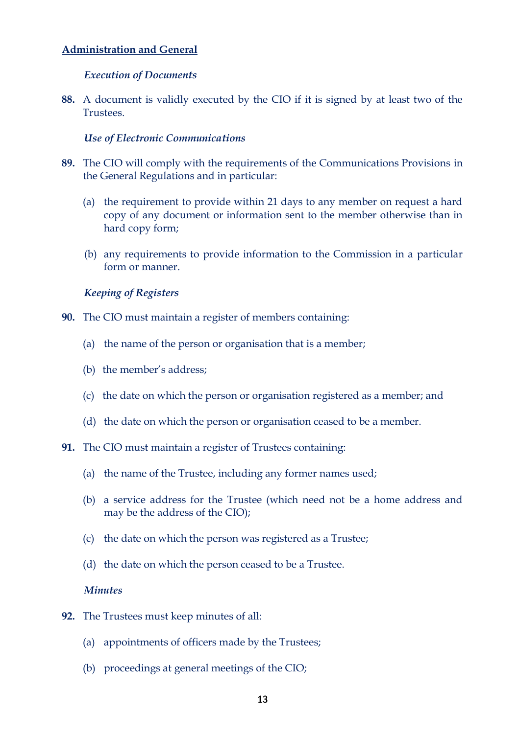# **Administration and General**

## *Execution of Documents*

**88.** A document is validly executed by the CIO if it is signed by at least two of the Trustees.

## *Use of Electronic Communications*

- **89.** The CIO will comply with the requirements of the Communications Provisions in the General Regulations and in particular:
	- (a) the requirement to provide within 21 days to any member on request a hard copy of any document or information sent to the member otherwise than in hard copy form;
	- (b) any requirements to provide information to the Commission in a particular form or manner.

## *Keeping of Registers*

- **90.** The CIO must maintain a register of members containing:
	- (a) the name of the person or organisation that is a member;
	- (b) the member's address;
	- (c) the date on which the person or organisation registered as a member; and
	- (d) the date on which the person or organisation ceased to be a member.
- **91.** The CIO must maintain a register of Trustees containing:
	- (a) the name of the Trustee, including any former names used;
	- (b) a service address for the Trustee (which need not be a home address and may be the address of the CIO);
	- (c) the date on which the person was registered as a Trustee;
	- (d) the date on which the person ceased to be a Trustee.

# *Minutes*

- **92.** The Trustees must keep minutes of all:
	- (a) appointments of officers made by the Trustees;
	- (b) proceedings at general meetings of the CIO;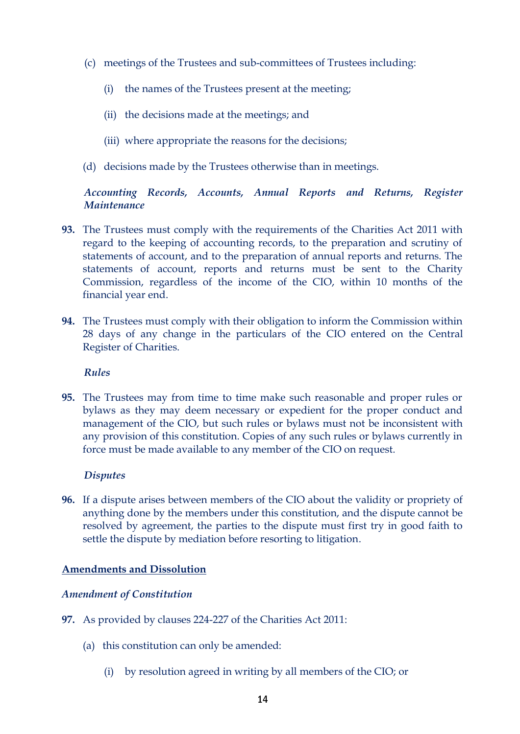- (c) meetings of the Trustees and sub-committees of Trustees including:
	- (i) the names of the Trustees present at the meeting;
	- (ii) the decisions made at the meetings; and
	- (iii) where appropriate the reasons for the decisions;
- (d) decisions made by the Trustees otherwise than in meetings.

# *Accounting Records, Accounts, Annual Reports and Returns, Register Maintenance*

- **93.** The Trustees must comply with the requirements of the Charities Act 2011 with regard to the keeping of accounting records, to the preparation and scrutiny of statements of account, and to the preparation of annual reports and returns. The statements of account, reports and returns must be sent to the Charity Commission, regardless of the income of the CIO, within 10 months of the financial year end.
- **94.** The Trustees must comply with their obligation to inform the Commission within 28 days of any change in the particulars of the CIO entered on the Central Register of Charities.

## *Rules*

**95.** The Trustees may from time to time make such reasonable and proper rules or bylaws as they may deem necessary or expedient for the proper conduct and management of the CIO, but such rules or bylaws must not be inconsistent with any provision of this constitution. Copies of any such rules or bylaws currently in force must be made available to any member of the CIO on request.

## *Disputes*

**96.** If a dispute arises between members of the CIO about the validity or propriety of anything done by the members under this constitution, and the dispute cannot be resolved by agreement, the parties to the dispute must first try in good faith to settle the dispute by mediation before resorting to litigation.

## **Amendments and Dissolution**

# *Amendment of Constitution*

- **97.** As provided by clauses 224-227 of the Charities Act 2011:
	- (a) this constitution can only be amended:
		- (i) by resolution agreed in writing by all members of the CIO; or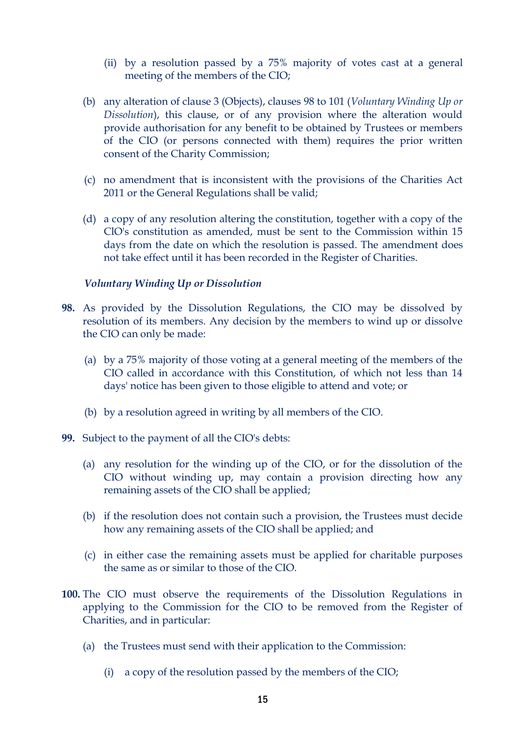- (ii) by a resolution passed by a 75% majority of votes cast at a general meeting of the members of the CIO;
- (b) any alteration of clause 3 (Objects), clauses 98 to 101 (*Voluntary Winding Up or Dissolution*), this clause, or of any provision where the alteration would provide authorisation for any benefit to be obtained by Trustees or members of the CIO (or persons connected with them) requires the prior written consent of the Charity Commission;
- (c) no amendment that is inconsistent with the provisions of the Charities Act 2011 or the General Regulations shall be valid;
- (d) a copy of any resolution altering the constitution, together with a copy of the ClO's constitution as amended, must be sent to the Commission within 15 days from the date on which the resolution is passed. The amendment does not take effect until it has been recorded in the Register of Charities.

## *Voluntary Winding Up or Dissolution*

- **98.** As provided by the Dissolution Regulations, the CIO may be dissolved by resolution of its members. Any decision by the members to wind up or dissolve the CIO can only be made:
	- (a) by a 75% majority of those voting at a general meeting of the members of the CIO called in accordance with this Constitution, of which not less than 14 days' notice has been given to those eligible to attend and vote; or
	- (b) by a resolution agreed in writing by all members of the CIO.
- **99.** Subject to the payment of all the CIO's debts:
	- (a) any resolution for the winding up of the CIO, or for the dissolution of the CIO without winding up, may contain a provision directing how any remaining assets of the CIO shall be applied;
	- (b) if the resolution does not contain such a provision, the Trustees must decide how any remaining assets of the CIO shall be applied; and
	- (c) in either case the remaining assets must be applied for charitable purposes the same as or similar to those of the CIO.
- **100.** The CIO must observe the requirements of the Dissolution Regulations in applying to the Commission for the CIO to be removed from the Register of Charities, and in particular:
	- (a) the Trustees must send with their application to the Commission:
		- (i) a copy of the resolution passed by the members of the CIO;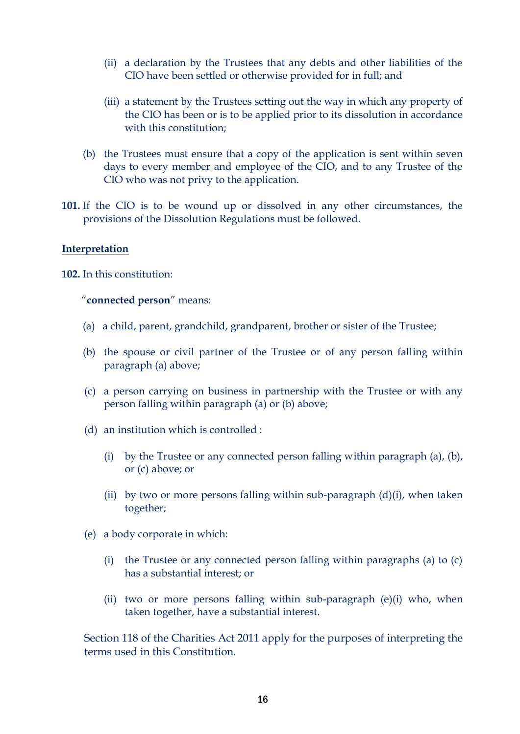- (ii) a declaration by the Trustees that any debts and other liabilities of the CIO have been settled or otherwise provided for in full; and
- (iii) a statement by the Trustees setting out the way in which any property of the CIO has been or is to be applied prior to its dissolution in accordance with this constitution;
- (b) the Trustees must ensure that a copy of the application is sent within seven days to every member and employee of the CIO, and to any Trustee of the CIO who was not privy to the application.
- **101.** If the CIO is to be wound up or dissolved in any other circumstances, the provisions of the Dissolution Regulations must be followed.

#### **Interpretation**

**102.** In this constitution:

#### "**connected person**" means:

- (a) a child, parent, grandchild, grandparent, brother or sister of the Trustee;
- (b) the spouse or civil partner of the Trustee or of any person falling within paragraph (a) above;
- (c) a person carrying on business in partnership with the Trustee or with any person falling within paragraph (a) or (b) above;
- (d) an institution which is controlled :
	- (i) by the Trustee or any connected person falling within paragraph (a), (b), or (c) above; or
	- (ii) by two or more persons falling within sub-paragraph  $(d)(i)$ , when taken together;
- (e) a body corporate in which:
	- (i) the Trustee or any connected person falling within paragraphs (a) to (c) has a substantial interest; or
	- (ii) two or more persons falling within sub-paragraph (e)(i) who, when taken together, have a substantial interest.

Section 118 of the Charities Act 2011 apply for the purposes of interpreting the terms used in this Constitution.